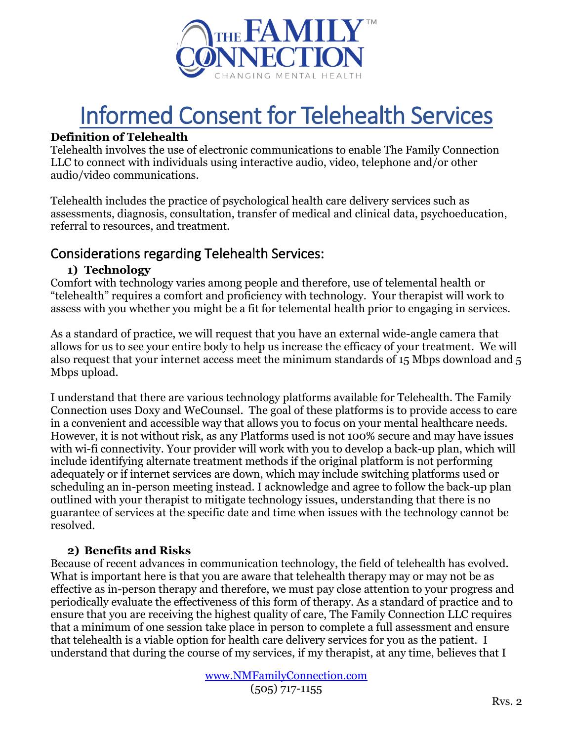

# Informed Consent for Telehealth Services

## **Definition of Telehealth**

Telehealth involves the use of electronic communications to enable The Family Connection LLC to connect with individuals using interactive audio, video, telephone and/or other audio/video communications.

Telehealth includes the practice of psychological health care delivery services such as assessments, diagnosis, consultation, transfer of medical and clinical data, psychoeducation, referral to resources, and treatment.

# Considerations regarding Telehealth Services:

## **1) Technology**

Comfort with technology varies among people and therefore, use of telemental health or "telehealth" requires a comfort and proficiency with technology. Your therapist will work to assess with you whether you might be a fit for telemental health prior to engaging in services.

As a standard of practice, we will request that you have an external wide-angle camera that allows for us to see your entire body to help us increase the efficacy of your treatment. We will also request that your internet access meet the minimum standards of 15 Mbps download and 5 Mbps upload.

I understand that there are various technology platforms available for Telehealth. The Family Connection uses Doxy and WeCounsel. The goal of these platforms is to provide access to care in a convenient and accessible way that allows you to focus on your mental healthcare needs. However, it is not without risk, as any Platforms used is not 100% secure and may have issues with wi-fi connectivity. Your provider will work with you to develop a back-up plan, which will include identifying alternate treatment methods if the original platform is not performing adequately or if internet services are down, which may include switching platforms used or scheduling an in-person meeting instead. I acknowledge and agree to follow the back-up plan outlined with your therapist to mitigate technology issues, understanding that there is no guarantee of services at the specific date and time when issues with the technology cannot be resolved.

# **2) Benefits and Risks**

Because of recent advances in communication technology, the field of telehealth has evolved. What is important here is that you are aware that telehealth therapy may or may not be as effective as in-person therapy and therefore, we must pay close attention to your progress and periodically evaluate the effectiveness of this form of therapy. As a standard of practice and to ensure that you are receiving the highest quality of care, The Family Connection LLC requires that a minimum of one session take place in person to complete a full assessment and ensure that telehealth is a viable option for health care delivery services for you as the patient. I understand that during the course of my services, if my therapist, at any time, believes that I

> [www.NMFamilyConnection.com](http://www.nmfamilyconnection.com/) (505) 717-1155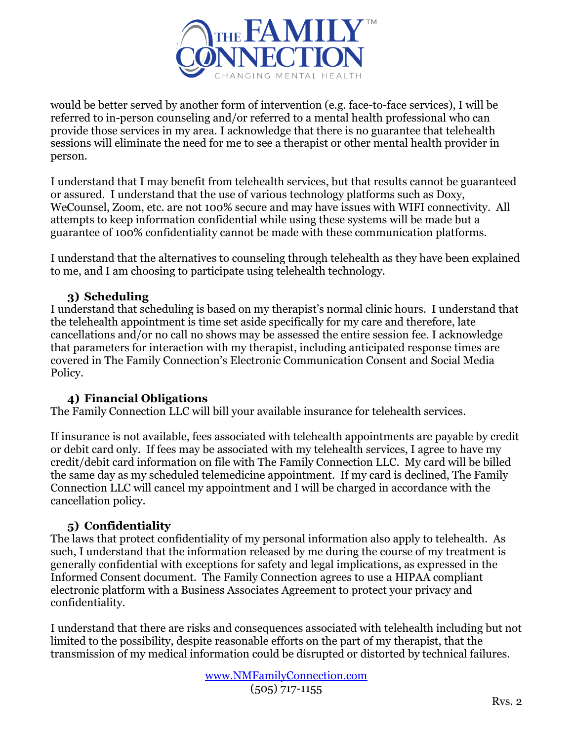

would be better served by another form of intervention (e.g. face-to-face services), I will be referred to in-person counseling and/or referred to a mental health professional who can provide those services in my area. I acknowledge that there is no guarantee that telehealth sessions will eliminate the need for me to see a therapist or other mental health provider in person.

I understand that I may benefit from telehealth services, but that results cannot be guaranteed or assured. I understand that the use of various technology platforms such as Doxy, WeCounsel, Zoom, etc. are not 100% secure and may have issues with WIFI connectivity. All attempts to keep information confidential while using these systems will be made but a guarantee of 100% confidentiality cannot be made with these communication platforms.

I understand that the alternatives to counseling through telehealth as they have been explained to me, and I am choosing to participate using telehealth technology.

# **3) Scheduling**

I understand that scheduling is based on my therapist's normal clinic hours. I understand that the telehealth appointment is time set aside specifically for my care and therefore, late cancellations and/or no call no shows may be assessed the entire session fee. I acknowledge that parameters for interaction with my therapist, including anticipated response times are covered in The Family Connection's Electronic Communication Consent and Social Media Policy.

# **4) Financial Obligations**

The Family Connection LLC will bill your available insurance for telehealth services.

If insurance is not available, fees associated with telehealth appointments are payable by credit or debit card only. If fees may be associated with my telehealth services, I agree to have my credit/debit card information on file with The Family Connection LLC. My card will be billed the same day as my scheduled telemedicine appointment. If my card is declined, The Family Connection LLC will cancel my appointment and I will be charged in accordance with the cancellation policy.

## **5) Confidentiality**

The laws that protect confidentiality of my personal information also apply to telehealth. As such, I understand that the information released by me during the course of my treatment is generally confidential with exceptions for safety and legal implications, as expressed in the Informed Consent document. The Family Connection agrees to use a HIPAA compliant electronic platform with a Business Associates Agreement to protect your privacy and confidentiality.

I understand that there are risks and consequences associated with telehealth including but not limited to the possibility, despite reasonable efforts on the part of my therapist, that the transmission of my medical information could be disrupted or distorted by technical failures.

> [www.NMFamilyConnection.com](http://www.nmfamilyconnection.com/) (505) 717-1155